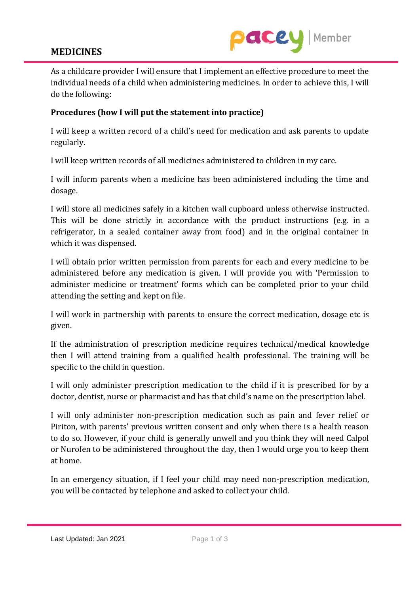## **MEDICINES**



As a childcare provider I will ensure that I implement an effective procedure to meet the individual needs of a child when administering medicines. In order to achieve this, I will do the following:

## **Procedures (how I will put the statement into practice)**

I will keep a written record of a child's need for medication and ask parents to update regularly.

I will keep written records of all medicines administered to children in my care.

I will inform parents when a medicine has been administered including the time and dosage.

I will store all medicines safely in a kitchen wall cupboard unless otherwise instructed. This will be done strictly in accordance with the product instructions (e.g. in a refrigerator, in a sealed container away from food) and in the original container in which it was dispensed.

I will obtain prior written permission from parents for each and every medicine to be administered before any medication is given. I will provide you with 'Permission to administer medicine or treatment' forms which can be completed prior to your child attending the setting and kept on file.

I will work in partnership with parents to ensure the correct medication, dosage etc is given.

If the administration of prescription medicine requires technical/medical knowledge then I will attend training from a qualified health professional. The training will be specific to the child in question.

I will only administer prescription medication to the child if it is prescribed for by a doctor, dentist, nurse or pharmacist and has that child's name on the prescription label.

I will only administer non-prescription medication such as pain and fever relief or Piriton, with parents' previous written consent and only when there is a health reason to do so. However, if your child is generally unwell and you think they will need Calpol or Nurofen to be administered throughout the day, then I would urge you to keep them at home.

In an emergency situation, if I feel your child may need non-prescription medication, you will be contacted by telephone and asked to collect your child.

Last Updated: Jan 2021 Page 1 of 3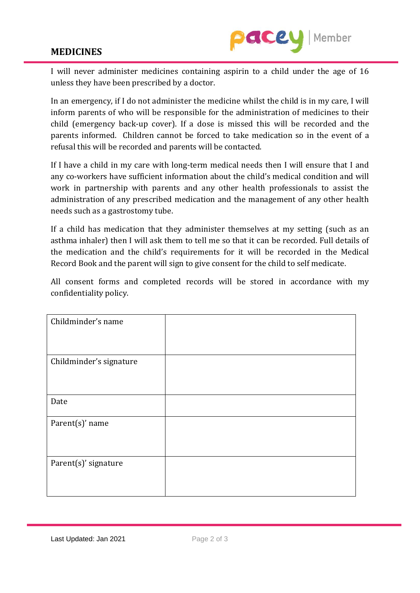## **MEDICINES**



I will never administer medicines containing aspirin to a child under the age of 16 unless they have been prescribed by a doctor.

In an emergency, if I do not administer the medicine whilst the child is in my care, I will inform parents of who will be responsible for the administration of medicines to their child (emergency back-up cover). If a dose is missed this will be recorded and the parents informed. Children cannot be forced to take medication so in the event of a refusal this will be recorded and parents will be contacted.

If I have a child in my care with long-term medical needs then I will ensure that I and any co-workers have sufficient information about the child's medical condition and will work in partnership with parents and any other health professionals to assist the administration of any prescribed medication and the management of any other health needs such as a gastrostomy tube.

If a child has medication that they administer themselves at my setting (such as an asthma inhaler) then I will ask them to tell me so that it can be recorded. Full details of the medication and the child's requirements for it will be recorded in the Medical Record Book and the parent will sign to give consent for the child to self medicate.

All consent forms and completed records will be stored in accordance with my confidentiality policy.

| Childminder's name      |  |
|-------------------------|--|
| Childminder's signature |  |
| Date                    |  |
| Parent(s)' name         |  |
| Parent(s)' signature    |  |